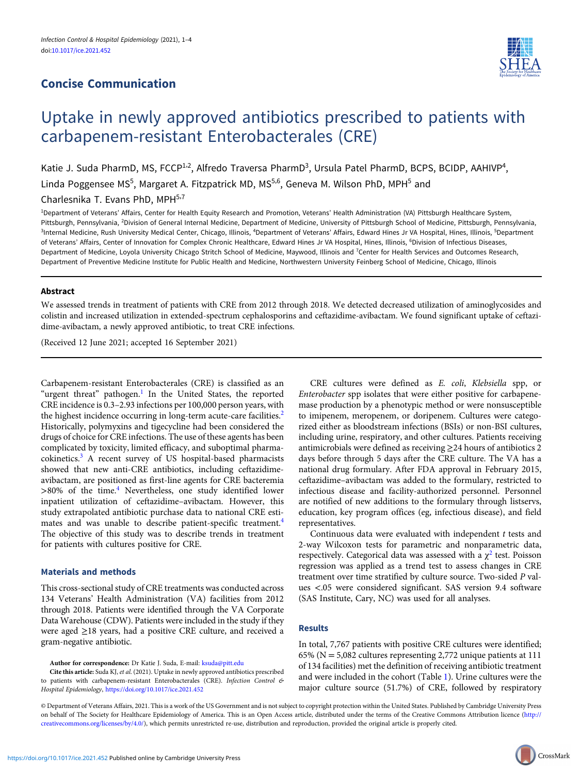# Concise Communication



# Uptake in newly approved antibiotics prescribed to patients with carbapenem-resistant Enterobacterales (CRE)

Katie J. Suda PharmD, MS, FCCP<sup>1,2</sup>, Alfredo Traversa PharmD<sup>3</sup>, Ursula Patel PharmD, BCPS, BCIDP, AAHIVP<sup>4</sup>, Linda Poggensee MS<sup>5</sup>, Margaret A. Fitzpatrick MD, MS<sup>5,6</sup>, Geneva M. Wilson PhD, MPH<sup>5</sup> and Charlesnika T. Evans PhD, MPH<sup>5,7</sup>

1 Department of Veterans' Affairs, Center for Health Equity Research and Promotion, Veterans' Health Administration (VA) Pittsburgh Healthcare System, Pittsburgh, Pennsylvania, <sup>2</sup>Division of General Internal Medicine, Department of Medicine, University of Pittsburgh School of Medicine, Pittsburgh, Pennsylvania, <sup>3</sup>Internal Medicine, Rush University Medical Center, Chicago, Illinois, <sup>4</sup>Department of Veterans' Affairs, Edward Hines Jr VA Hospital, Hines, Illinois, <sup>5</sup>Department of Veterans' Affairs, Center of Innovation for Complex Chronic Healthcare, Edward Hines Jr VA Hospital, Hines, Illinois, <sup>6</sup>Division of Infectious Diseases, Department of Medicine, Loyola University Chicago Stritch School of Medicine, Maywood, Illinois and <sup>7</sup>Center for Health Services and Outcomes Research, Department of Preventive Medicine Institute for Public Health and Medicine, Northwestern University Feinberg School of Medicine, Chicago, Illinois

### Abstract

We assessed trends in treatment of patients with CRE from 2012 through 2018. We detected decreased utilization of aminoglycosides and colistin and increased utilization in extended-spectrum cephalosporins and ceftazidime-avibactam. We found significant uptake of ceftazidime-avibactam, a newly approved antibiotic, to treat CRE infections.

(Received 12 June 2021; accepted 16 September 2021)

Carbapenem-resistant Enterobacterales (CRE) is classified as an "urgent threat" pathogen. $<sup>1</sup>$  $<sup>1</sup>$  $<sup>1</sup>$  In the United States, the reported</sup> CRE incidence is 0.3–2.93 infections per 100,000 person years, with the highest incidence occurring in long-term acute-care facilities.<sup>[2](#page-3-0)</sup> Historically, polymyxins and tigecycline had been considered the drugs of choice for CRE infections. The use of these agents has been complicated by toxicity, limited efficacy, and suboptimal pharmacokinetics.[3](#page-3-0) A recent survey of US hospital-based pharmacists showed that new anti-CRE antibiotics, including ceftazidimeavibactam, are positioned as first-line agents for CRE bacteremia >80% of the time.<sup>[4](#page-3-0)</sup> Nevertheless, one study identified lower inpatient utilization of ceftazidime–avibactam. However, this study extrapolated antibiotic purchase data to national CRE esti-mates and was unable to describe patient-specific treatment.<sup>[4](#page-3-0)</sup> The objective of this study was to describe trends in treatment for patients with cultures positive for CRE.

#### Materials and methods

This cross-sectional study of CRE treatments was conducted across 134 Veterans' Health Administration (VA) facilities from 2012 through 2018. Patients were identified through the VA Corporate Data Warehouse (CDW). Patients were included in the study if they were aged ≥18 years, had a positive CRE culture, and received a gram-negative antibiotic.

Author for correspondence: Dr Katie J. Suda, E-mail: [ksuda@pitt.edu](mailto:ksuda@pitt.edu)

Cite this article: Suda KJ,et al. (2021). Uptake in newly approved antibiotics prescribed to patients with carbapenem-resistant Enterobacterales (CRE). Infection Control & Hospital Epidemiology, <https://doi.org/10.1017/ice.2021.452>

CRE cultures were defined as E. coli, Klebsiella spp, or Enterobacter spp isolates that were either positive for carbapenemase production by a phenotypic method or were nonsusceptible to imipenem, meropenem, or doripenem. Cultures were categorized either as bloodstream infections (BSIs) or non-BSI cultures, including urine, respiratory, and other cultures. Patients receiving antimicrobials were defined as receiving ≥24 hours of antibiotics 2 days before through 5 days after the CRE culture. The VA has a national drug formulary. After FDA approval in February 2015, ceftazidime–avibactam was added to the formulary, restricted to infectious disease and facility-authorized personnel. Personnel are notified of new additions to the formulary through listservs, education, key program offices (eg, infectious disease), and field representatives.

Continuous data were evaluated with independent t tests and 2-way Wilcoxon tests for parametric and nonparametric data, respectively. Categorical data was assessed with a  $\chi^2$  $\chi^2$  test. Poisson regression was applied as a trend test to assess changes in CRE treatment over time stratified by culture source. Two-sided P values <.05 were considered significant. SAS version 9.4 software (SAS Institute, Cary, NC) was used for all analyses.

## Results

In total, 7,767 patients with positive CRE cultures were identified; 65% ( $N = 5,082$  cultures representing 2,772 unique patients at 111 of 134 facilities) met the definition of receiving antibiotic treatment and were included in the cohort (Table [1](#page-1-0)). Urine cultures were the major culture source (51.7%) of CRE, followed by respiratory

© Department of Veterans Affairs, 2021. This is a work of the US Government and is not subject to copyright protection within the United States. Published by Cambridge University Press on behalf of The Society for Healthcare Epidemiology of America. This is an Open Access article, distributed under the terms of the Creative Commons Attribution licence [\(http://](http://creativecommons.org/licenses/by/4.0/) [creativecommons.org/licenses/by/4.0/](http://creativecommons.org/licenses/by/4.0/)), which permits unrestricted re-use, distribution and reproduction, provided the original article is properly cited.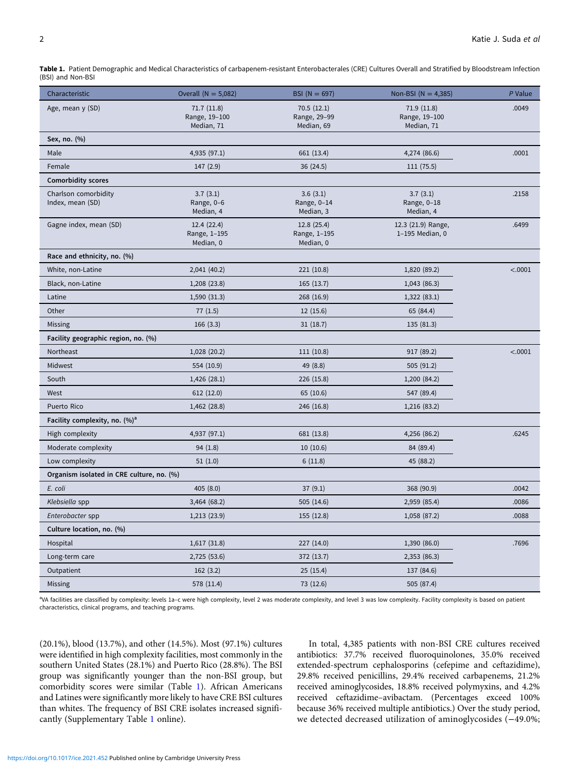<span id="page-1-0"></span>Table 1. Patient Demographic and Medical Characteristics of carbapenem-resistant Enterobacterales (CRE) Cultures Overall and Stratified by Bloodstream Infection (BSI) and Non-BSI

| Characteristic                            | Overall ( $N = 5,082$ )                   | $BSI (N = 697)$                          | Non-BSI ( $N = 4,385$ )                   | P Value |
|-------------------------------------------|-------------------------------------------|------------------------------------------|-------------------------------------------|---------|
| Age, mean y (SD)                          | 71.7(11.8)<br>Range, 19-100<br>Median, 71 | 70.5(12.1)<br>Range, 29-99<br>Median, 69 | 71.9(11.8)<br>Range, 19-100<br>Median, 71 | .0049   |
| Sex, no. (%)                              |                                           |                                          |                                           |         |
| Male                                      | 4,935 (97.1)                              | 661 (13.4)                               | 4,274 (86.6)                              | .0001   |
| Female                                    | 147(2.9)                                  | 36(24.5)                                 | 111 (75.5)                                |         |
| <b>Comorbidity scores</b>                 |                                           |                                          |                                           |         |
| Charlson comorbidity<br>Index, mean (SD)  | 3.7(3.1)<br>Range, 0-6<br>Median, 4       | 3.6(3.1)<br>Range, 0-14<br>Median, 3     | 3.7(3.1)<br>Range, 0-18<br>Median, 4      | .2158   |
| Gagne index, mean (SD)                    | 12.4(22.4)<br>Range, 1-195<br>Median, 0   | 12.8 (25.4)<br>Range, 1-195<br>Median, 0 | 12.3 (21.9) Range,<br>1-195 Median, 0     | .6499   |
| Race and ethnicity, no. (%)               |                                           |                                          |                                           |         |
| White, non-Latine                         | 2,041 (40.2)                              | 221 (10.8)                               | 1,820 (89.2)                              | < .0001 |
| Black, non-Latine                         | 1,208 (23.8)                              | 165(13.7)                                | 1,043(86.3)                               |         |
| Latine                                    | 1,590 (31.3)                              | 268 (16.9)                               | 1,322 (83.1)                              |         |
| Other                                     | 77(1.5)                                   | 12(15.6)                                 | 65 (84.4)                                 |         |
| Missing                                   | 166(3.3)                                  | 31(18.7)                                 | 135 (81.3)                                |         |
| Facility geographic region, no. (%)       |                                           |                                          |                                           |         |
| Northeast                                 | 1,028 (20.2)                              | 111(10.8)                                | 917 (89.2)                                | < .0001 |
| Midwest                                   | 554 (10.9)                                | 49 (8.8)                                 | 505 (91.2)                                |         |
| South                                     | 1,426(28.1)                               | 226 (15.8)                               | 1,200 (84.2)                              |         |
| West                                      | 612(12.0)                                 | 65 (10.6)                                | 547 (89.4)                                |         |
| Puerto Rico                               | 1,462 (28.8)                              | 246 (16.8)                               | 1,216 (83.2)                              |         |
| Facility complexity, no. (%) <sup>a</sup> |                                           |                                          |                                           |         |
| High complexity                           | 4,937 (97.1)                              | 681 (13.8)                               | 4,256 (86.2)                              | .6245   |
| Moderate complexity                       | 94(1.8)                                   | 10(10.6)                                 | 84 (89.4)                                 |         |
| Low complexity                            | 51(1.0)                                   | 6(11.8)                                  | 45 (88.2)                                 |         |
| Organism isolated in CRE culture, no. (%) |                                           |                                          |                                           |         |
| E. coli                                   | 405 (8.0)                                 | 37(9.1)                                  | 368 (90.9)                                | .0042   |
| Klebsiella spp                            | 3,464 (68.2)                              | 505(14.6)                                | 2,959 (85.4)                              | .0086   |
| Enterobacter spp                          | 1,213(23.9)                               | 155 (12.8)                               | 1,058 (87.2)                              | .0088   |
| Culture location, no. (%)                 |                                           |                                          |                                           |         |
| Hospital                                  | 1,617(31.8)                               | 227 (14.0)                               | 1,390 (86.0)                              | .7696   |
| Long-term care                            | 2,725 (53.6)                              | 372 (13.7)                               | 2,353 (86.3)                              |         |
| Outpatient                                | 162(3.2)                                  | 25(15.4)                                 | 137 (84.6)                                |         |
| Missing                                   | 578 (11.4)                                | 73 (12.6)                                | 505 (87.4)                                |         |

a VA facilities are classified by complexity: levels 1a–c were high complexity, level 2 was moderate complexity, and level 3 was low complexity. Facility complexity is based on patient characteristics, clinical programs, and teaching programs.

(20.1%), blood (13.7%), and other (14.5%). Most (97.1%) cultures were identified in high complexity facilities, most commonly in the southern United States (28.1%) and Puerto Rico (28.8%). The BSI group was significantly younger than the non-BSI group, but comorbidity scores were similar (Table 1). African Americans and Latines were significantly more likely to have CRE BSI cultures than whites. The frequency of BSI CRE isolates increased significantly (Supplementary Table [1](https://doi.org/10.1017/ice.2021.452) online).

In total, 4,385 patients with non-BSI CRE cultures received antibiotics: 37.7% received fluoroquinolones, 35.0% received extended-spectrum cephalosporins (cefepime and ceftazidime), 29.8% received penicillins, 29.4% received carbapenems, 21.2% received aminoglycosides, 18.8% received polymyxins, and 4.2% received ceftazidime–avibactam. (Percentages exceed 100% because 36% received multiple antibiotics.) Over the study period, we detected decreased utilization of aminoglycosides (−49.0%;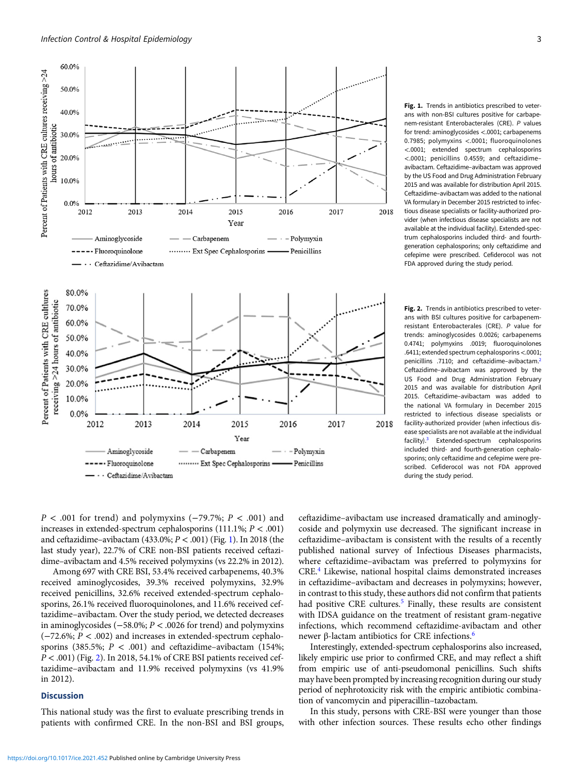

Fig. 1. Trends in antibiotics prescribed to veterans with non-BSI cultures positive for carbapenem-resistant Enterobacterales (CRE). P values for trend: aminoglycosides <.0001; carbapenems 0.7985; polymyxins <.0001; fluoroquinolones <.0001; extended spectrum cephalosporins <.0001; penicillins 0.4559; and ceftazidime– avibactam. Ceftazidime–avibactam was approved by the US Food and Drug Administration February 2015 and was available for distribution April 2015. Ceftazidime–avibactam was added to the national VA formulary in December 2015 restricted to infectious disease specialists or facility-authorized provider (when infectious disease specialists are not available at the individual facility). Extended-spectrum cephalosporins included third- and fourthgeneration cephalosporins; only ceftazidime and cefepime were prescribed. Cefiderocol was not FDA approved during the study period.

Fig. 2. Trends in antibiotics prescribed to veterans with BSI cultures positive for carbapenemresistant Enterobacterales (CRE). P value for trends: aminoglycosides 0.0026; carbapenems 0.4741; polymyxins .0019; fluoroquinolones .6411; extended spectrum cephalosporins<.0001; penicillins .7110; and ceftazidime–avibactam.[2](#page-3-0) Ceftazidime–avibactam was approved by the US Food and Drug Administration February 2015 and was available for distribution April 2015. Ceftazidime–avibactam was added to the national VA formulary in December 2015 restricted to infectious disease specialists or facility-authorized provider (when infectious disease specialists are not available at the individual facility)[.3](#page-3-0) Extended-spectrum cephalosporins included third- and fourth-generation cephalosporins; only ceftazidime and cefepime were prescribed. Cefiderocol was not FDA approved during the study period.

 $P < .001$  for trend) and polymyxins (-79.7%;  $P < .001$ ) and increases in extended-spectrum cephalosporins (111.1%; P < .001) and ceftazidime–avibactam (433.0%;  $P < .001$ ) (Fig. 1). In 2018 (the last study year), 22.7% of CRE non-BSI patients received ceftazidime–avibactam and 4.5% received polymyxins (vs 22.2% in 2012).

Among 697 with CRE BSI, 53.4% received carbapenems, 40.3% received aminoglycosides, 39.3% received polymyxins, 32.9% received penicillins, 32.6% received extended-spectrum cephalosporins, 26.1% received fluoroquinolones, and 11.6% received ceftazidime–avibactam. Over the study period, we detected decreases in aminoglycosides (−58.0%; P < .0026 for trend) and polymyxins (−72.6%; P < .002) and increases in extended-spectrum cephalosporins (385.5%;  $P < .001$ ) and ceftazidime–avibactam (154%;  $P < .001$ ) (Fig. 2). In 2018, 54.1% of CRE BSI patients received ceftazidime–avibactam and 11.9% received polymyxins (vs 41.9% in 2012).

#### **Discussion**

This national study was the first to evaluate prescribing trends in patients with confirmed CRE. In the non-BSI and BSI groups, ceftazidime–avibactam use increased dramatically and aminoglycoside and polymyxin use decreased. The significant increase in ceftazidime–avibactam is consistent with the results of a recently published national survey of Infectious Diseases pharmacists, where ceftazidime–avibactam was preferred to polymyxins for CRE.[4](#page-3-0) Likewise, national hospital claims demonstrated increases in ceftazidime–avibactam and decreases in polymyxins; however, in contrast to this study, these authors did not confirm that patients had positive CRE cultures.<sup>[5](#page-3-0)</sup> Finally, these results are consistent with IDSA guidance on the treatment of resistant gram-negative infections, which recommend ceftazidime-avibactam and other newer β-lactam antibiotics for CRE infections.[6](#page-3-0)

Interestingly, extended-spectrum cephalosporins also increased, likely empiric use prior to confirmed CRE, and may reflect a shift from empiric use of anti-pseudomonal penicillins. Such shifts may have been prompted by increasing recognition during our study period of nephrotoxicity risk with the empiric antibiotic combination of vancomycin and piperacillin–tazobactam.

In this study, persons with CRE-BSI were younger than those with other infection sources. These results echo other findings